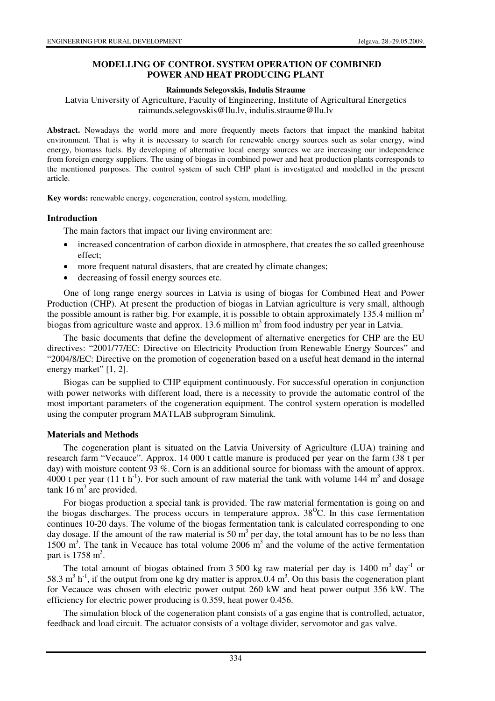## **MODELLING OF CONTROL SYSTEM OPERATION OF COMBINED POWER AND HEAT PRODUCING PLANT**

### **Raimunds Selegovskis, Indulis Straume**

Latvia University of Agriculture, Faculty of Engineering, Institute of Agricultural Energetics raimunds.selegovskis@llu.lv, indulis.straume@llu.lv

**Abstract.** Nowadays the world more and more frequently meets factors that impact the mankind habitat environment. That is why it is necessary to search for renewable energy sources such as solar energy, wind energy, biomass fuels. By developing of alternative local energy sources we are increasing our independence from foreign energy suppliers. The using of biogas in combined power and heat production plants corresponds to the mentioned purposes. The control system of such CHP plant is investigated and modelled in the present article.

**Key words:** renewable energy, cogeneration, control system, modelling.

## **Introduction**

The main factors that impact our living environment are:

- increased concentration of carbon dioxide in atmosphere, that creates the so called greenhouse effect;
- more frequent natural disasters, that are created by climate changes;
- decreasing of fossil energy sources etc.

One of long range energy sources in Latvia is using of biogas for Combined Heat and Power Production (CHP). At present the production of biogas in Latvian agriculture is very small, although the possible amount is rather big. For example, it is possible to obtain approximately 135.4 million  $m<sup>3</sup>$ biogas from agriculture waste and approx.  $13.6$  million m<sup>3</sup> from food industry per year in Latvia.

The basic documents that define the development of alternative energetics for CHP are the EU directives: "2001/77/EC: Directive on Electricity Production from Renewable Energy Sources" and "2004/8/EC: Directive on the promotion of cogeneration based on a useful heat demand in the internal energy market" [1, 2].

Biogas can be supplied to CHP equipment continuously. For successful operation in conjunction with power networks with different load, there is a necessity to provide the automatic control of the most important parameters of the cogeneration equipment. The control system operation is modelled using the computer program MATLAB subprogram Simulink.

## **Materials and Methods**

The cogeneration plant is situated on the Latvia University of Agriculture (LUA) training and research farm "Vecauce". Approx. 14 000 t cattle manure is produced per year on the farm (38 t per day) with moisture content 93 %. Corn is an additional source for biomass with the amount of approx. 4000 t per year (11 t h<sup>-1</sup>). For such amount of raw material the tank with volume 144 m<sup>3</sup> and dosage tank  $16 \text{ m}^3$  are provided.

For biogas production a special tank is provided. The raw material fermentation is going on and the biogas discharges. The process occurs in temperature approx.  $38^{\circ}$ C. In this case fermentation continues 10-20 days. The volume of the biogas fermentation tank is calculated corresponding to one day dosage. If the amount of the raw material is 50  $m<sup>3</sup>$  per day, the total amount has to be no less than 1500 m<sup>3</sup>. The tank in Vecauce has total volume  $2006 \text{ m}^3$  and the volume of the active fermentation part is  $1758 \text{ m}^3$ .

The total amount of biogas obtained from 3 500 kg raw material per day is 1400  $m<sup>3</sup>$  day<sup>-1</sup> or 58.3  $\text{m}^3$  h<sup>-1</sup>, if the output from one kg dry matter is approx.0.4  $\text{m}^3$ . On this basis the cogeneration plant for Vecauce was chosen with electric power output 260 kW and heat power output 356 kW. The efficiency for electric power producing is 0.359, heat power 0.456.

The simulation block of the cogeneration plant consists of a gas engine that is controlled, actuator, feedback and load circuit. The actuator consists of a voltage divider, servomotor and gas valve.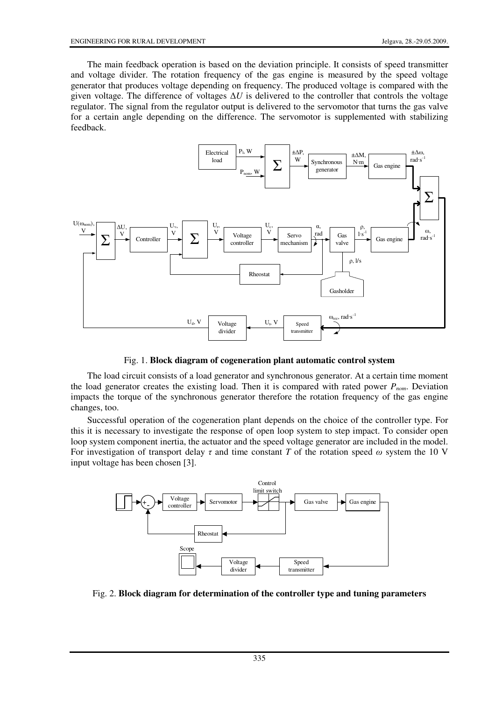The main feedback operation is based on the deviation principle. It consists of speed transmitter and voltage divider. The rotation frequency of the gas engine is measured by the speed voltage generator that produces voltage depending on frequency. The produced voltage is compared with the given voltage. The difference of voltages ∆*U* is delivered to the controller that controls the voltage regulator. The signal from the regulator output is delivered to the servomotor that turns the gas valve for a certain angle depending on the difference. The servomotor is supplemented with stabilizing feedback.



Fig. 1. **Block diagram of cogeneration plant automatic control system** 

The load circuit consists of a load generator and synchronous generator. At a certain time moment the load generator creates the existing load. Then it is compared with rated power *Pnom*. Deviation impacts the torque of the synchronous generator therefore the rotation frequency of the gas engine changes, too.

Successful operation of the cogeneration plant depends on the choice of the controller type. For this it is necessary to investigate the response of open loop system to step impact. To consider open loop system component inertia, the actuator and the speed voltage generator are included in the model. For investigation of transport delay  $\tau$  and time constant *T* of the rotation speed  $\omega$  system the 10 V input voltage has been chosen [3].



Fig. 2. **Block diagram for determination of the controller type and tuning parameters**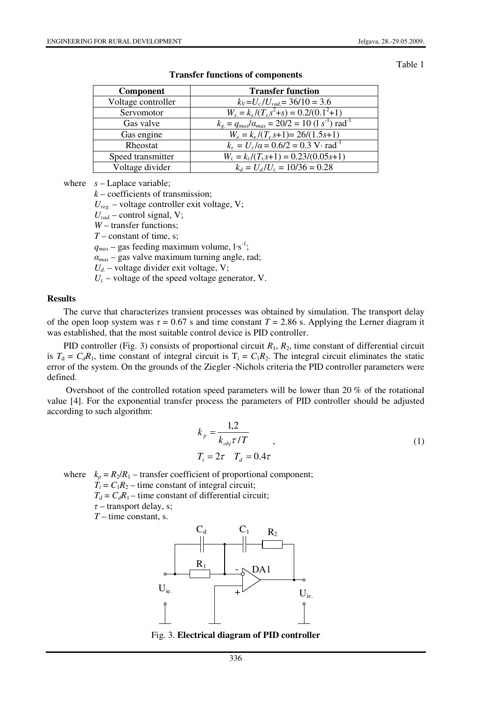#### Table 1

| <b>Component</b>   | <b>Transfer function</b>                                                    |
|--------------------|-----------------------------------------------------------------------------|
| Voltage controller | $k_V = U_c/U_{vad} = 36/10 = 3.6$                                           |
| Servomotor         | $W_s = k_s/(T_s s^2 + s) = 0.2/(0.1^2 + 1)$                                 |
| Gas valve          | $k_{g} = q_{max}/\alpha_{max} = 20/2 = 10 \ (1 \ s^{-1}) \ \text{rad}^{-1}$ |
| Gas engine         | $W_e = k_e/(T_e s+1) = 26/(1.5s+1)$                                         |
| Rheostat           | $k_r = U_r/a = 0.6/2 = 0.3 \text{ V} \cdot \text{rad}^{-1}$                 |
| Speed transmitter  | $W_t = k_t/(T_t s+1) = 0.23/(0.05s+1)$                                      |
| Voltage divider    | $k_d = U_d/U_t = 10/36 = 0.28$                                              |

**Transfer functions of components** 

where  $s -$ Laplace variable;

*k* – coefficients of transmission;

*Ureg.* – voltage controller exit voltage, V;

 $U_{\nu ad}$  – control signal, V;

*W* – transfer functions;

*T* – constant of time, s;

 $q_{max}$  – gas feeding maximum volume,  $1 \cdot s^{-1}$ ;

 $\alpha_{max}$  – gas valve maximum turning angle, rad;

 $U_d$  – voltage divider exit voltage, V;

 $U_t$  – voltage of the speed voltage generator, V.

#### **Results**

The curve that characterizes transient processes was obtained by simulation. The transport delay of the open loop system was  $\tau = 0.67$  s and time constant  $T = 2.86$  s. Applying the Lerner diagram it was established, that the most suitable control device is PID controller.

PID controller (Fig. 3) consists of proportional circuit  $R_1$ ,  $R_2$ , time constant of differential circuit is  $T_d = C_d R_1$ , time constant of integral circuit is  $T_i = C_1 R_2$ . The integral circuit eliminates the static error of the system. On the grounds of the Ziegler -Nichols criteria the PID controller parameters were defined.

 Overshoot of the controlled rotation speed parameters will be lower than 20 % of the rotational value [4]. For the exponential transfer process the parameters of PID controller should be adjusted according to such algorithm:

$$
k_p = \frac{1,2}{k_{obj}\tau/T}
$$
  
\n
$$
T_i = 2\tau \quad T_d = 0.4\tau
$$
\n(1)

where  $k_p = R_2/R_1$  – transfer coefficient of proportional component;

 $T_i = C_1 R_2$  – time constant of integral circuit;

 $T_d = C_d R_1$  – time constant of differential circuit;

 $\tau$  – transport delay, s; *T* – time constant, s.



Fig. 3. **Electrical diagram of PID controller**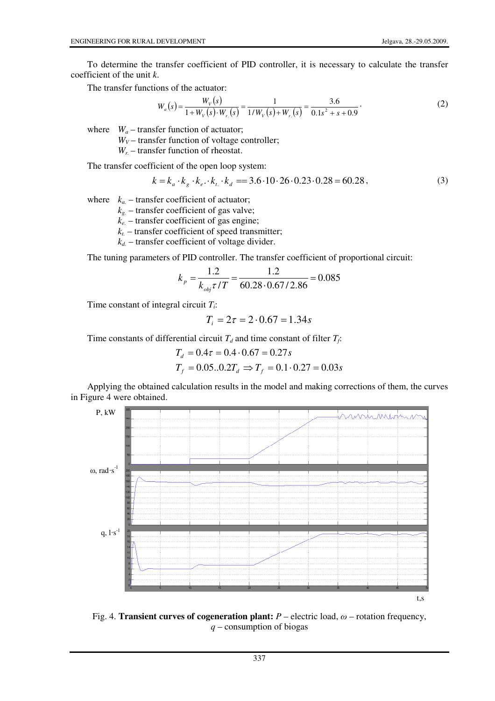To determine the transfer coefficient of PID controller, it is necessary to calculate the transfer coefficient of the unit *k*.

The transfer functions of the actuator:

$$
W_a(s) = \frac{W_V(s)}{1 + W_V(s) \cdot W_{r.}(s)} = \frac{1}{1/W_V(s) + W_{r.}(s)} = \frac{3.6}{0.1s^2 + s + 0.9}.
$$
 (2)

where  $W_a$  – transfer function of actuator;

 $W_V$  – transfer function of voltage controller;

*Wr.* – transfer function of rheostat.

The transfer coefficient of the open loop system:

$$
k = k_a \cdot k_g \cdot k_e \cdot k_t \cdot k_d = 3.6 \cdot 10 \cdot 26 \cdot 0.23 \cdot 0.28 = 60.28,
$$
\n(3)

where  $k_a$  – transfer coefficient of actuator;

 $k<sub>g</sub>$  – transfer coefficient of gas valve;

*ke.* – transfer coefficient of gas engine;

 $k_t$  – transfer coefficient of speed transmitter;

 $k_d$  – transfer coefficient of voltage divider.

The tuning parameters of PID controller. The transfer coefficient of proportional circuit:

$$
k_p = \frac{1.2}{k_{obj} \tau / T} = \frac{1.2}{60.28 \cdot 0.67 / 2.86} = 0.085
$$

Time constant of integral circuit *T<sup>i</sup>* :

$$
T_i = 2\tau = 2 \cdot 0.67 = 1.34s
$$

Time constants of differential circuit  $T_d$  and time constant of filter  $T_f$ :

$$
T_d = 0.4\tau = 0.4 \cdot 0.67 = 0.27s
$$
  

$$
T_f = 0.05...0.2T_d \implies T_f = 0.1 \cdot 0.27 = 0.03s
$$

Applying the obtained calculation results in the model and making corrections of them, the curves in Figure 4 were obtained.



Fig. 4. **Transient curves of cogeneration plant:**  $P$  – electric load,  $\omega$  – rotation frequency, *q* – consumption of biogas